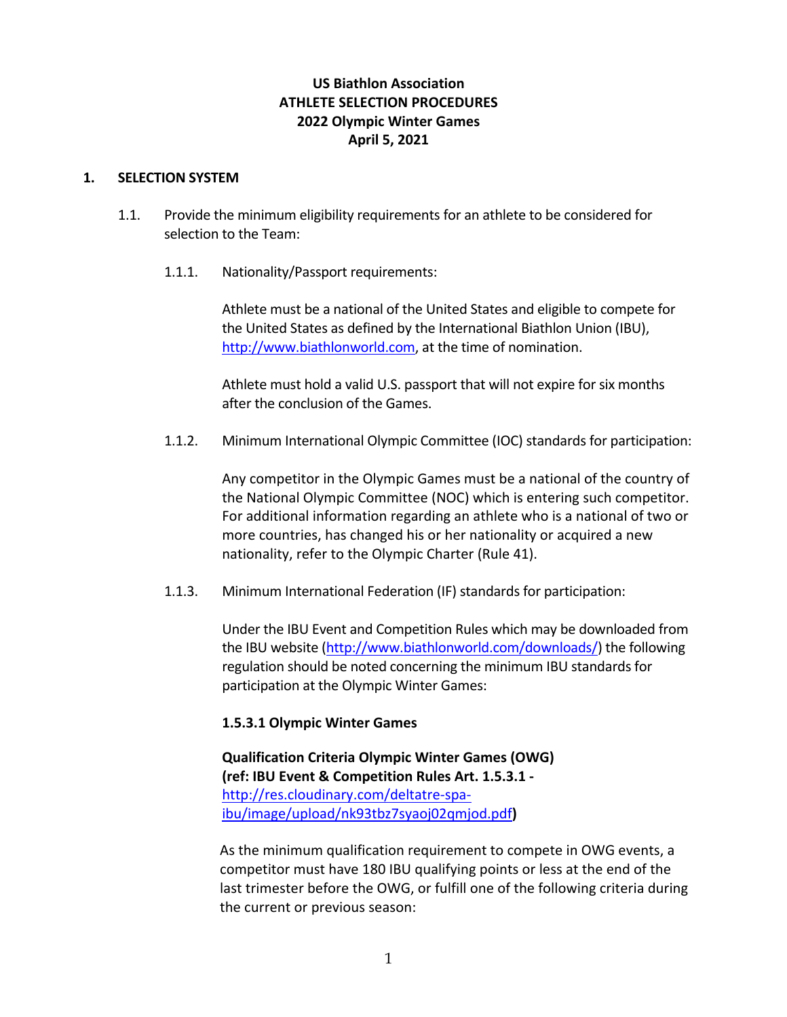# **US Biathlon Association ATHLETE SELECTION PROCEDURES 2022 Olympic Winter Games April 5, 2021**

#### **1. SELECTION SYSTEM**

- 1.1. Provide the minimum eligibility requirements for an athlete to be considered for selection to the Team:
	- 1.1.1. Nationality/Passport requirements:

Athlete must be a national of the United States and eligible to compete for the United States as defined by the International Biathlon Union (IBU), http://www.biathlonworld.com, at the time of nomination.

Athlete must hold a valid U.S. passport that will not expire for six months after the conclusion of the Games.

1.1.2. Minimum International Olympic Committee (IOC) standards for participation:

Any competitor in the Olympic Games must be a national of the country of the National Olympic Committee (NOC) which is entering such competitor. For additional information regarding an athlete who is a national of two or more countries, has changed his or her nationality or acquired a new nationality, refer to the Olympic Charter (Rule 41).

1.1.3. Minimum International Federation (IF) standards for participation:

Under the IBU Event and Competition Rules which may be downloaded from the IBU website (http://www.biathlonworld.com/downloads/) the following regulation should be noted concerning the minimum IBU standards for participation at the Olympic Winter Games:

# **1.5.3.1 Olympic Winter Games**

**Qualification Criteria Olympic Winter Games (OWG) (ref: IBU Event & Competition Rules Art. 1.5.3.1 ‐**  http://res.cloudinary.com/deltatre‐spa‐ ibu/image/upload/nk93tbz7syaoj02qmjod.pdf**)**

As the minimum qualification requirement to compete in OWG events, a competitor must have 180 IBU qualifying points or less at the end of the last trimester before the OWG, or fulfill one of the following criteria during the current or previous season: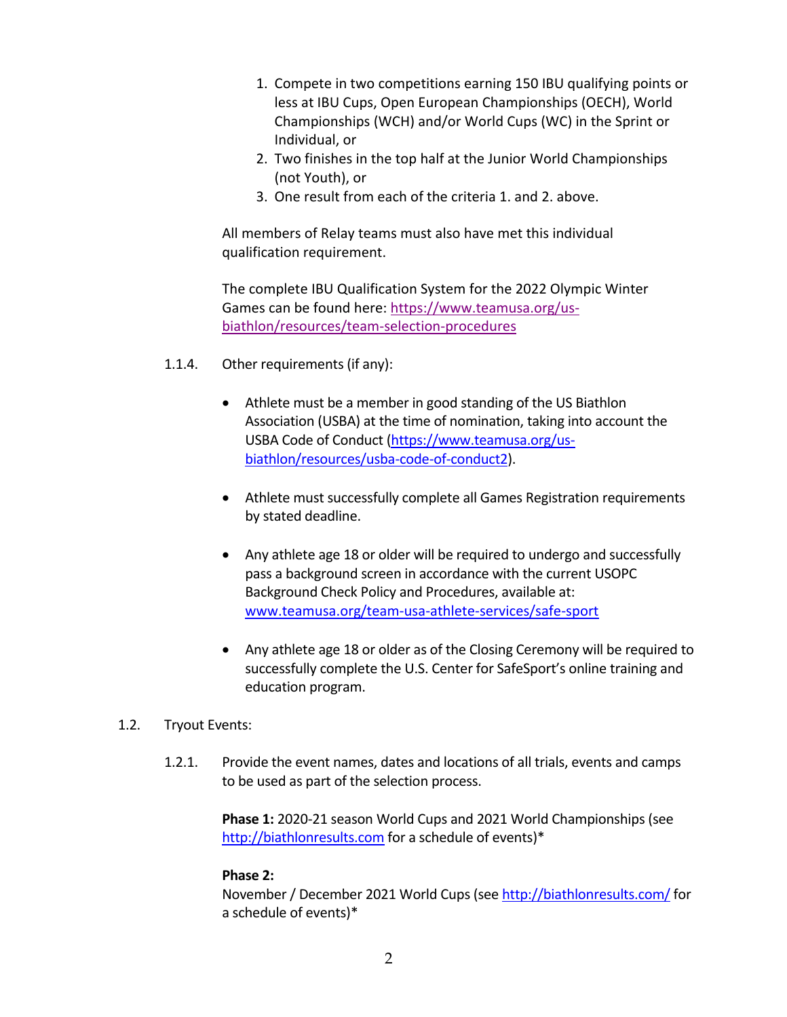- 1. Compete in two competitions earning 150 IBU qualifying points or less at IBU Cups, Open European Championships (OECH), World Championships (WCH) and/or World Cups (WC) in the Sprint or Individual, or
- 2. Two finishes in the top half at the Junior World Championships (not Youth), or
- 3. One result from each of the criteria 1. and 2. above.

All members of Relay teams must also have met this individual qualification requirement.

The complete IBU Qualification System for the 2022 Olympic Winter Games can be found here: https://www.teamusa.org/us‐ biathlon/resources/team‐selection‐procedures

- 1.1.4. Other requirements (if any):
	- Athlete must be a member in good standing of the US Biathlon Association (USBA) at the time of nomination, taking into account the USBA Code of Conduct (https://www.teamusa.org/us‐ biathlon/resources/usba‐code‐of‐conduct2).
	- Athlete must successfully complete all Games Registration requirements by stated deadline.
	- Any athlete age 18 or older will be required to undergo and successfully pass a background screen in accordance with the current USOPC Background Check Policy and Procedures, available at: www.teamusa.org/team‐usa‐athlete‐services/safe‐sport
	- Any athlete age 18 or older as of the Closing Ceremony will be required to successfully complete the U.S. Center for SafeSport's online training and education program.
- 1.2. Tryout Events:
	- 1.2.1. Provide the event names, dates and locations of all trials, events and camps to be used as part of the selection process.

**Phase 1:** 2020‐21 season World Cups and 2021 World Championships (see http://biathlonresults.com for a schedule of events)\*

# **Phase 2:**

November / December 2021 World Cups (see http://biathlonresults.com/ for a schedule of events)\*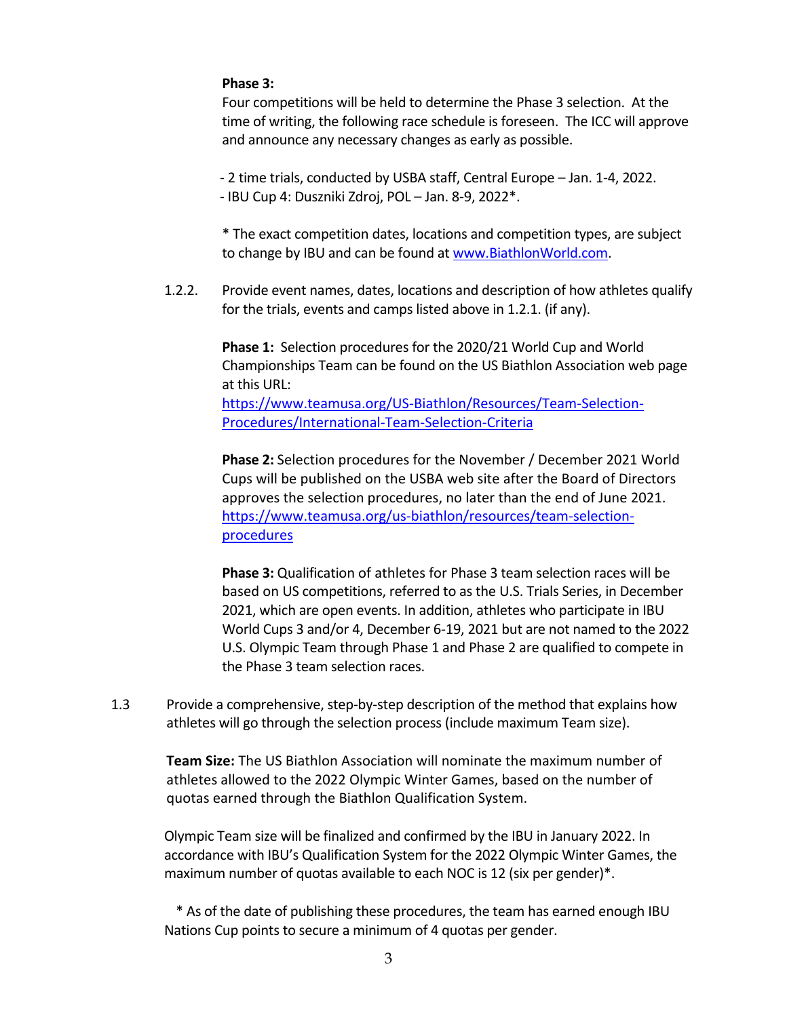# **Phase 3:**

Four competitions will be held to determine the Phase 3 selection. At the time of writing, the following race schedule is foreseen. The ICC will approve and announce any necessary changes as early as possible.

‐ 2 time trials, conducted by USBA staff, Central Europe – Jan. 1‐4, 2022. ‐ IBU Cup 4: Duszniki Zdroj, POL – Jan. 8‐9, 2022\*.

\* The exact competition dates, locations and competition types, are subject to change by IBU and can be found at www.BiathlonWorld.com.

1.2.2. Provide event names, dates, locations and description of how athletes qualify for the trials, events and camps listed above in 1.2.1. (if any).

> **Phase 1:** Selection procedures for the 2020/21 World Cup and World Championships Team can be found on the US Biathlon Association web page at this URL:

https://www.teamusa.org/US‐Biathlon/Resources/Team‐Selection‐ Procedures/International‐Team‐Selection‐Criteria

**Phase 2:** Selection procedures for the November / December 2021 World Cups will be published on the USBA web site after the Board of Directors approves the selection procedures, no later than the end of June 2021. https://www.teamusa.org/us-biathlon/resources/team-selectionprocedures

**Phase 3:** Qualification of athletes for Phase 3 team selection races will be based on US competitions, referred to as the U.S. Trials Series, in December 2021, which are open events. In addition, athletes who participate in IBU World Cups 3 and/or 4, December 6‐19, 2021 but are not named to the 2022 U.S. Olympic Team through Phase 1 and Phase 2 are qualified to compete in the Phase 3 team selection races.

1.3 Provide a comprehensive, step‐by‐step description of the method that explains how athletes will go through the selection process (include maximum Team size).

**Team Size:** The US Biathlon Association will nominate the maximum number of athletes allowed to the 2022 Olympic Winter Games, based on the number of quotas earned through the Biathlon Qualification System.

Olympic Team size will be finalized and confirmed by the IBU in January 2022. In accordance with IBU's Qualification System for the 2022 Olympic Winter Games, the maximum number of quotas available to each NOC is 12 (six per gender)\*.

\* As of the date of publishing these procedures, the team has earned enough IBU Nations Cup points to secure a minimum of 4 quotas per gender.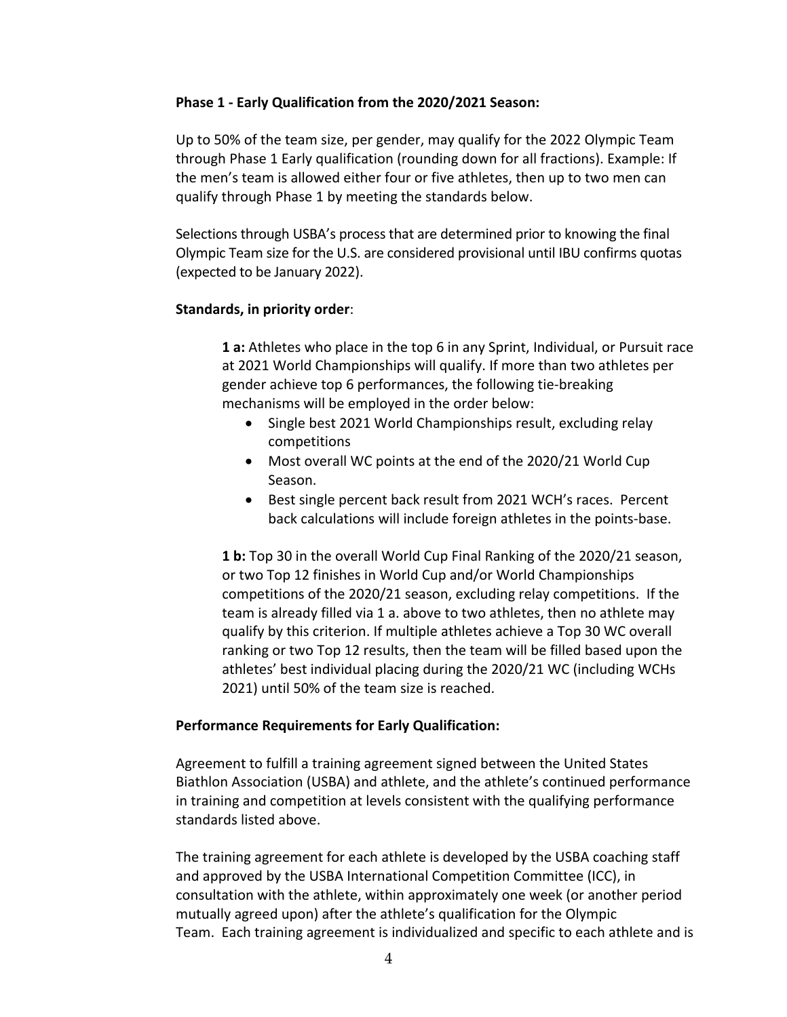# **Phase 1 ‐ Early Qualification from the 2020/2021 Season:**

Up to 50% of the team size, per gender, may qualify for the 2022 Olympic Team through Phase 1 Early qualification (rounding down for all fractions). Example: If the men's team is allowed either four or five athletes, then up to two men can qualify through Phase 1 by meeting the standards below.

Selections through USBA's process that are determined prior to knowing the final Olympic Team size for the U.S. are considered provisional until IBU confirms quotas (expected to be January 2022).

# **Standards, in priority order**:

**1 a:** Athletes who place in the top 6 in any Sprint, Individual, or Pursuit race at 2021 World Championships will qualify. If more than two athletes per gender achieve top 6 performances, the following tie‐breaking mechanisms will be employed in the order below:

- Single best 2021 World Championships result, excluding relay competitions
- Most overall WC points at the end of the 2020/21 World Cup Season.
- Best single percent back result from 2021 WCH's races. Percent back calculations will include foreign athletes in the points‐base.

**1 b:** Top 30 in the overall World Cup Final Ranking of the 2020/21 season, or two Top 12 finishes in World Cup and/or World Championships competitions of the 2020/21 season, excluding relay competitions. If the team is already filled via 1 a. above to two athletes, then no athlete may qualify by this criterion. If multiple athletes achieve a Top 30 WC overall ranking or two Top 12 results, then the team will be filled based upon the athletes' best individual placing during the 2020/21 WC (including WCHs 2021) until 50% of the team size is reached.

# **Performance Requirements for Early Qualification:**

Agreement to fulfill a training agreement signed between the United States Biathlon Association (USBA) and athlete, and the athlete's continued performance in training and competition at levels consistent with the qualifying performance standards listed above.

The training agreement for each athlete is developed by the USBA coaching staff and approved by the USBA International Competition Committee (ICC), in consultation with the athlete, within approximately one week (or another period mutually agreed upon) after the athlete's qualification for the Olympic Team. Each training agreement is individualized and specific to each athlete and is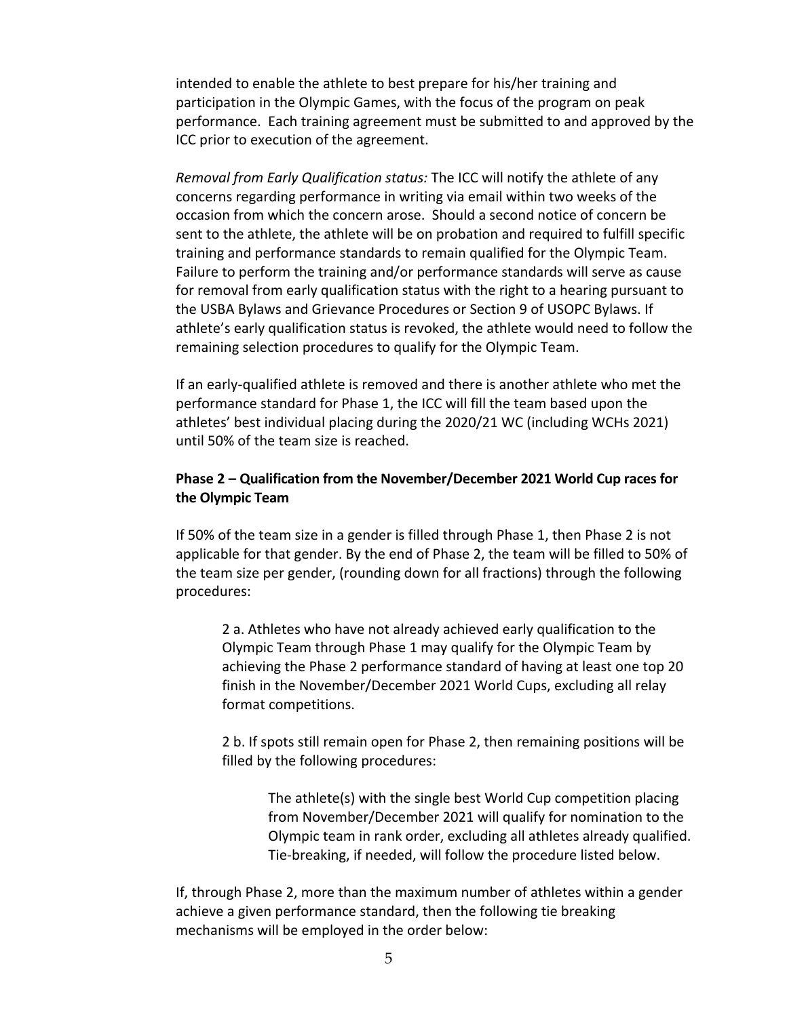intended to enable the athlete to best prepare for his/her training and participation in the Olympic Games, with the focus of the program on peak performance. Each training agreement must be submitted to and approved by the ICC prior to execution of the agreement.

*Removal from Early Qualification status:* The ICC will notify the athlete of any concerns regarding performance in writing via email within two weeks of the occasion from which the concern arose. Should a second notice of concern be sent to the athlete, the athlete will be on probation and required to fulfill specific training and performance standards to remain qualified for the Olympic Team. Failure to perform the training and/or performance standards will serve as cause for removal from early qualification status with the right to a hearing pursuant to the USBA Bylaws and Grievance Procedures or Section 9 of USOPC Bylaws. If athlete's early qualification status is revoked, the athlete would need to follow the remaining selection procedures to qualify for the Olympic Team.

If an early‐qualified athlete is removed and there is another athlete who met the performance standard for Phase 1, the ICC will fill the team based upon the athletes' best individual placing during the 2020/21 WC (including WCHs 2021) until 50% of the team size is reached.

# **Phase 2 – Qualification from the November/December 2021 World Cup races for the Olympic Team**

If 50% of the team size in a gender is filled through Phase 1, then Phase 2 is not applicable for that gender. By the end of Phase 2, the team will be filled to 50% of the team size per gender, (rounding down for all fractions) through the following procedures:

2 a. Athletes who have not already achieved early qualification to the Olympic Team through Phase 1 may qualify for the Olympic Team by achieving the Phase 2 performance standard of having at least one top 20 finish in the November/December 2021 World Cups, excluding all relay format competitions.

2 b. If spots still remain open for Phase 2, then remaining positions will be filled by the following procedures:

The athlete(s) with the single best World Cup competition placing from November/December 2021 will qualify for nomination to the Olympic team in rank order, excluding all athletes already qualified. Tie‐breaking, if needed, will follow the procedure listed below.

If, through Phase 2, more than the maximum number of athletes within a gender achieve a given performance standard, then the following tie breaking mechanisms will be employed in the order below: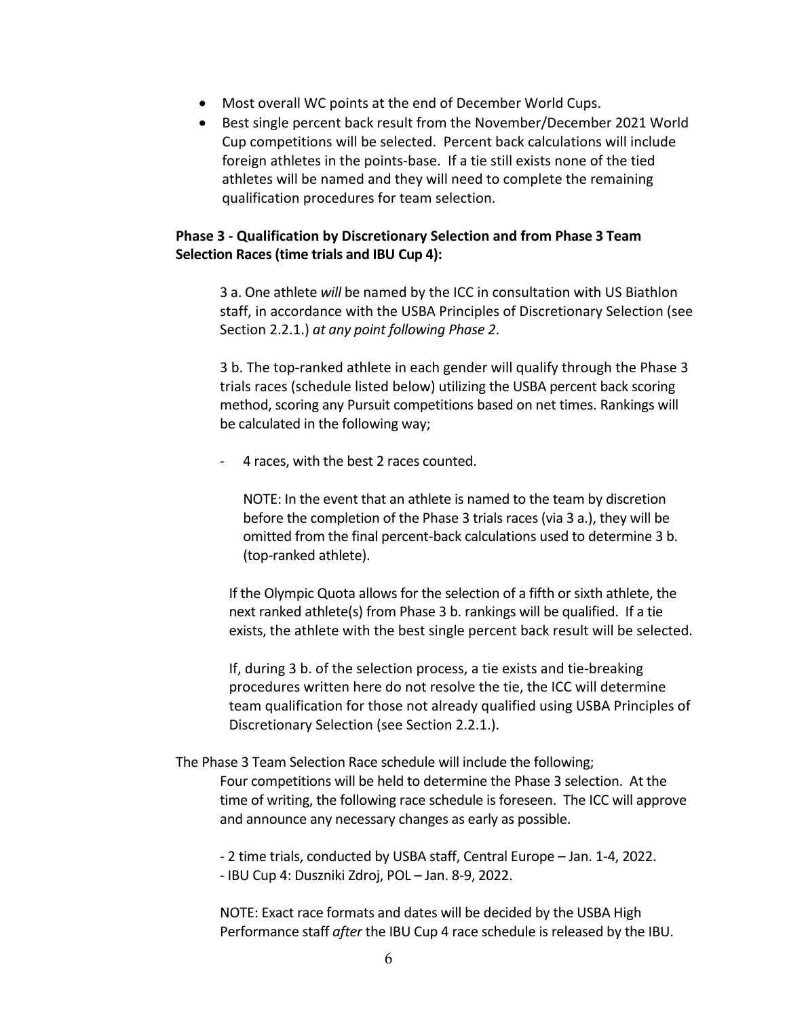- Most overall WC points at the end of December World Cups.
- Best single percent back result from the November/December 2021 World Cup competitions will be selected. Percent back calculations will include foreign athletes in the points‐base. If a tie still exists none of the tied athletes will be named and they will need to complete the remaining qualification procedures for team selection.

# **Phase 3 ‐ Qualification by Discretionary Selection and from Phase 3 Team Selection Races (time trials and IBU Cup 4):**

3 a. One athlete *will* be named by the ICC in consultation with US Biathlon staff, in accordance with the USBA Principles of Discretionary Selection (see Section 2.2.1.) *at any point following Phase 2*.

3 b. The top-ranked athlete in each gender will qualify through the Phase 3 trials races (schedule listed below) utilizing the USBA percent back scoring method, scoring any Pursuit competitions based on net times. Rankings will be calculated in the following way;

‐ 4 races, with the best 2 races counted.

NOTE: In the event that an athlete is named to the team by discretion before the completion of the Phase 3 trials races (via 3 a.), they will be omitted from the final percent‐back calculations used to determine 3 b. (top‐ranked athlete).

If the Olympic Quota allows for the selection of a fifth or sixth athlete, the next ranked athlete(s) from Phase 3 b. rankings will be qualified. If a tie exists, the athlete with the best single percent back result will be selected.

If, during 3 b. of the selection process, a tie exists and tie‐breaking procedures written here do not resolve the tie, the ICC will determine team qualification for those not already qualified using USBA Principles of Discretionary Selection (see Section 2.2.1.).

# The Phase 3 Team Selection Race schedule will include the following; Four competitions will be held to determine the Phase 3 selection. At the time of writing, the following race schedule is foreseen. The ICC will approve and announce any necessary changes as early as possible.

‐ 2 time trials, conducted by USBA staff, Central Europe – Jan. 1‐4, 2022. ‐ IBU Cup 4: Duszniki Zdroj, POL – Jan. 8‐9, 2022.

NOTE: Exact race formats and dates will be decided by the USBA High Performance staff *after* the IBU Cup 4 race schedule is released by the IBU.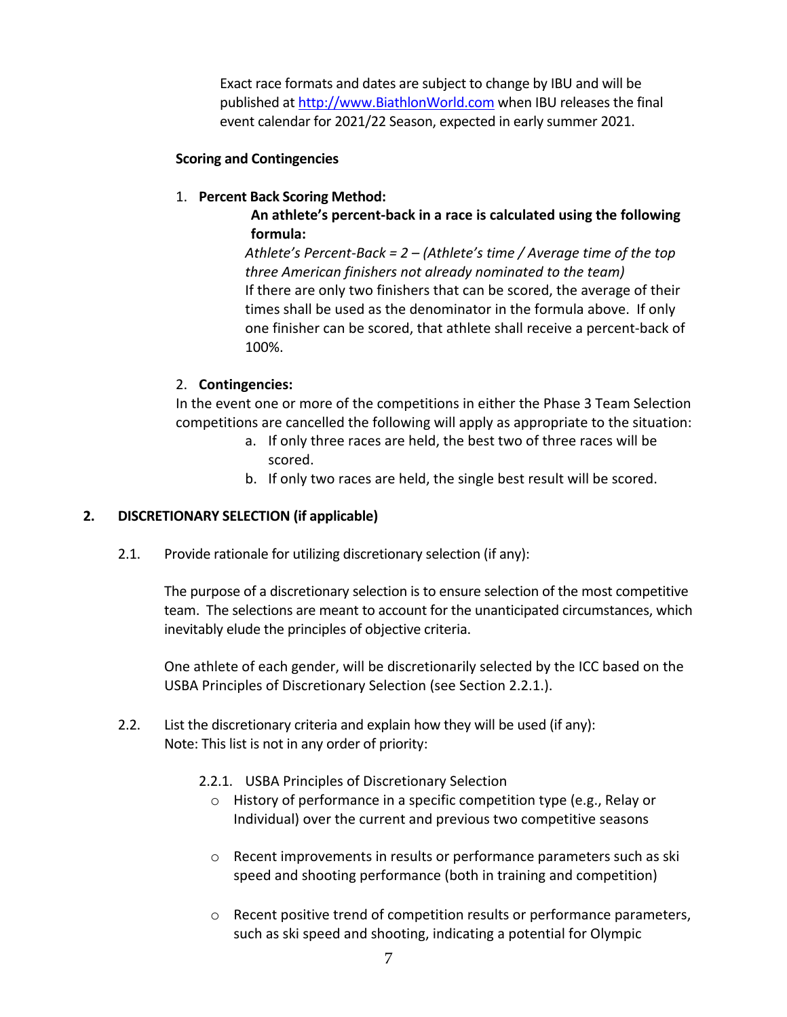Exact race formats and dates are subject to change by IBU and will be published at http://www.BiathlonWorld.com when IBU releases the final event calendar for 2021/22 Season, expected in early summer 2021.

# **Scoring and Contingencies**

# 1. **Percent Back Scoring Method:**

**An athlete's percent‐back in a race is calculated using the following formula:**

*Athlete's Percent‐Back = 2 – (Athlete's time / Average time of the top three American finishers not already nominated to the team)* If there are only two finishers that can be scored, the average of their times shall be used as the denominator in the formula above. If only one finisher can be scored, that athlete shall receive a percent‐back of 100%.

# 2. **Contingencies:**

In the event one or more of the competitions in either the Phase 3 Team Selection competitions are cancelled the following will apply as appropriate to the situation:

- a. If only three races are held, the best two of three races will be scored.
- b. If only two races are held, the single best result will be scored.

# **2. DISCRETIONARY SELECTION (if applicable)**

2.1. Provide rationale for utilizing discretionary selection (if any):

The purpose of a discretionary selection is to ensure selection of the most competitive team. The selections are meant to account for the unanticipated circumstances, which inevitably elude the principles of objective criteria.

One athlete of each gender, will be discretionarily selected by the ICC based on the USBA Principles of Discretionary Selection (see Section 2.2.1.).

- 2.2. List the discretionary criteria and explain how they will be used (if any): Note: This list is not in any order of priority:
	- 2.2.1. USBA Principles of Discretionary Selection
		- o History of performance in a specific competition type (e.g., Relay or Individual) over the current and previous two competitive seasons
		- $\circ$  Recent improvements in results or performance parameters such as ski speed and shooting performance (both in training and competition)
		- $\circ$  Recent positive trend of competition results or performance parameters, such as ski speed and shooting, indicating a potential for Olympic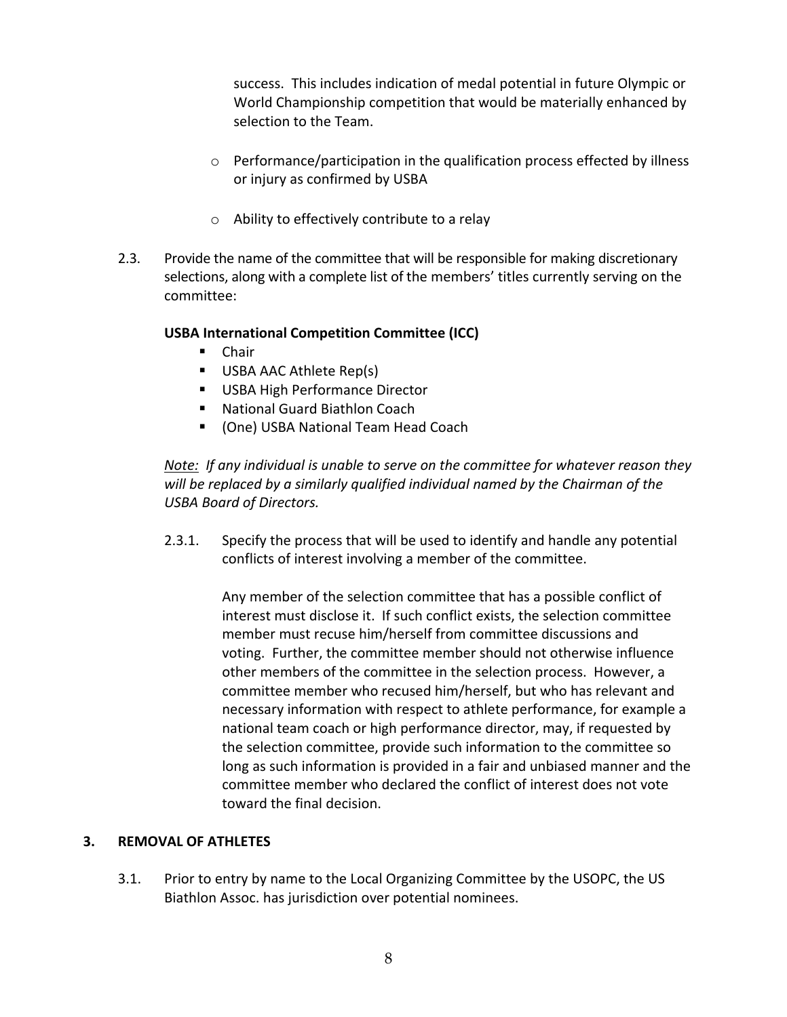success. This includes indication of medal potential in future Olympic or World Championship competition that would be materially enhanced by selection to the Team.

- o Performance/participation in the qualification process effected by illness or injury as confirmed by USBA
- o Ability to effectively contribute to a relay
- 2.3. Provide the name of the committee that will be responsible for making discretionary selections, along with a complete list of the members' titles currently serving on the committee:

# **USBA International Competition Committee (ICC)**

- **Chair**
- USBA AAC Athlete Rep(s)
- **USBA High Performance Director**
- National Guard Biathlon Coach
- (One) USBA National Team Head Coach

*Note: If any individual is unable to serve on the committee for whatever reason they will be replaced by a similarly qualified individual named by the Chairman of the USBA Board of Directors.*

2.3.1. Specify the process that will be used to identify and handle any potential conflicts of interest involving a member of the committee.

> Any member of the selection committee that has a possible conflict of interest must disclose it. If such conflict exists, the selection committee member must recuse him/herself from committee discussions and voting. Further, the committee member should not otherwise influence other members of the committee in the selection process. However, a committee member who recused him/herself, but who has relevant and necessary information with respect to athlete performance, for example a national team coach or high performance director, may, if requested by the selection committee, provide such information to the committee so long as such information is provided in a fair and unbiased manner and the committee member who declared the conflict of interest does not vote toward the final decision.

# **3. REMOVAL OF ATHLETES**

3.1. Prior to entry by name to the Local Organizing Committee by the USOPC, the US Biathlon Assoc. has jurisdiction over potential nominees.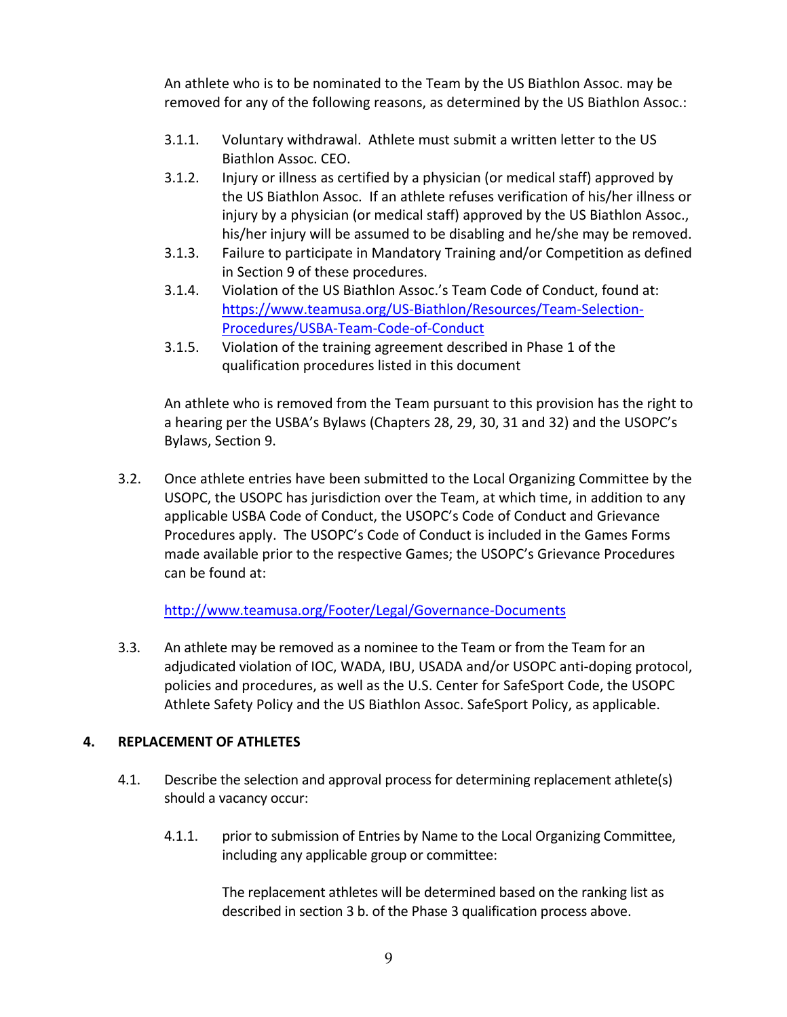An athlete who is to be nominated to the Team by the US Biathlon Assoc. may be removed for any of the following reasons, as determined by the US Biathlon Assoc.:

- 3.1.1. Voluntary withdrawal. Athlete must submit a written letter to the US Biathlon Assoc. CEO.
- 3.1.2. Injury or illness as certified by a physician (or medical staff) approved by the US Biathlon Assoc. If an athlete refuses verification of his/her illness or injury by a physician (or medical staff) approved by the US Biathlon Assoc., his/her injury will be assumed to be disabling and he/she may be removed.
- 3.1.3. Failure to participate in Mandatory Training and/or Competition as defined in Section 9 of these procedures.
- 3.1.4. Violation of the US Biathlon Assoc.'s Team Code of Conduct, found at: https://www.teamusa.org/US‐Biathlon/Resources/Team‐Selection‐ Procedures/USBA‐Team‐Code‐of‐Conduct
- 3.1.5. Violation of the training agreement described in Phase 1 of the qualification procedures listed in this document

An athlete who is removed from the Team pursuant to this provision has the right to a hearing per the USBA's Bylaws (Chapters 28, 29, 30, 31 and 32) and the USOPC's Bylaws, Section 9.

3.2. Once athlete entries have been submitted to the Local Organizing Committee by the USOPC, the USOPC has jurisdiction over the Team, at which time, in addition to any applicable USBA Code of Conduct, the USOPC's Code of Conduct and Grievance Procedures apply. The USOPC's Code of Conduct is included in the Games Forms made available prior to the respective Games; the USOPC's Grievance Procedures can be found at:

http://www.teamusa.org/Footer/Legal/Governance‐Documents

3.3. An athlete may be removed as a nominee to the Team or from the Team for an adjudicated violation of IOC, WADA, IBU, USADA and/or USOPC anti‐doping protocol, policies and procedures, as well as the U.S. Center for SafeSport Code, the USOPC Athlete Safety Policy and the US Biathlon Assoc. SafeSport Policy, as applicable.

# **4. REPLACEMENT OF ATHLETES**

- 4.1. Describe the selection and approval process for determining replacement athlete(s) should a vacancy occur:
	- 4.1.1. prior to submission of Entries by Name to the Local Organizing Committee, including any applicable group or committee:

The replacement athletes will be determined based on the ranking list as described in section 3 b. of the Phase 3 qualification process above.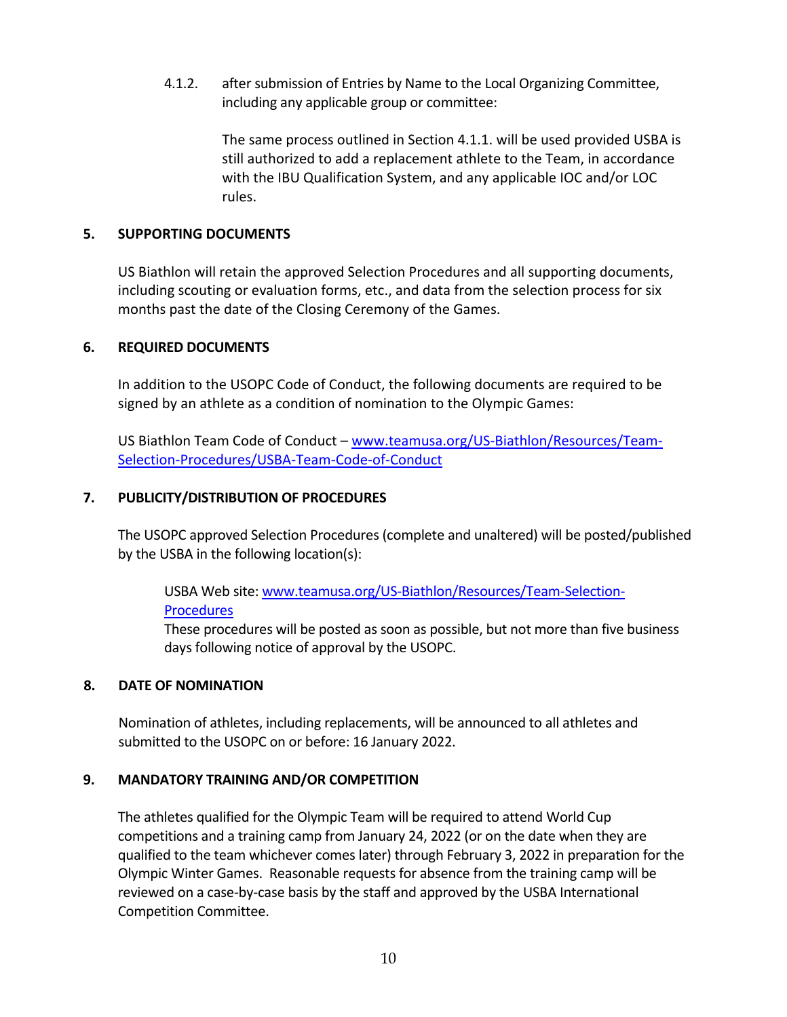4.1.2. after submission of Entries by Name to the Local Organizing Committee, including any applicable group or committee:

> The same process outlined in Section 4.1.1. will be used provided USBA is still authorized to add a replacement athlete to the Team, in accordance with the IBU Qualification System, and any applicable IOC and/or LOC rules.

# **5. SUPPORTING DOCUMENTS**

US Biathlon will retain the approved Selection Procedures and all supporting documents, including scouting or evaluation forms, etc., and data from the selection process for six months past the date of the Closing Ceremony of the Games.

# **6. REQUIRED DOCUMENTS**

In addition to the USOPC Code of Conduct, the following documents are required to be signed by an athlete as a condition of nomination to the Olympic Games:

US Biathlon Team Code of Conduct – www.teamusa.org/US‐Biathlon/Resources/Team‐ Selection‐Procedures/USBA‐Team‐Code‐of‐Conduct

# **7. PUBLICITY/DISTRIBUTION OF PROCEDURES**

The USOPC approved Selection Procedures (complete and unaltered) will be posted/published by the USBA in the following location(s):

USBA Web site: www.teamusa.org/US‐Biathlon/Resources/Team‐Selection‐ **Procedures** 

These procedures will be posted as soon as possible, but not more than five business days following notice of approval by the USOPC.

# **8. DATE OF NOMINATION**

Nomination of athletes, including replacements, will be announced to all athletes and submitted to the USOPC on or before: 16 January 2022.

# **9. MANDATORY TRAINING AND/OR COMPETITION**

The athletes qualified for the Olympic Team will be required to attend World Cup competitions and a training camp from January 24, 2022 (or on the date when they are qualified to the team whichever comes later) through February 3, 2022 in preparation for the Olympic Winter Games. Reasonable requests for absence from the training camp will be reviewed on a case‐by‐case basis by the staff and approved by the USBA International Competition Committee.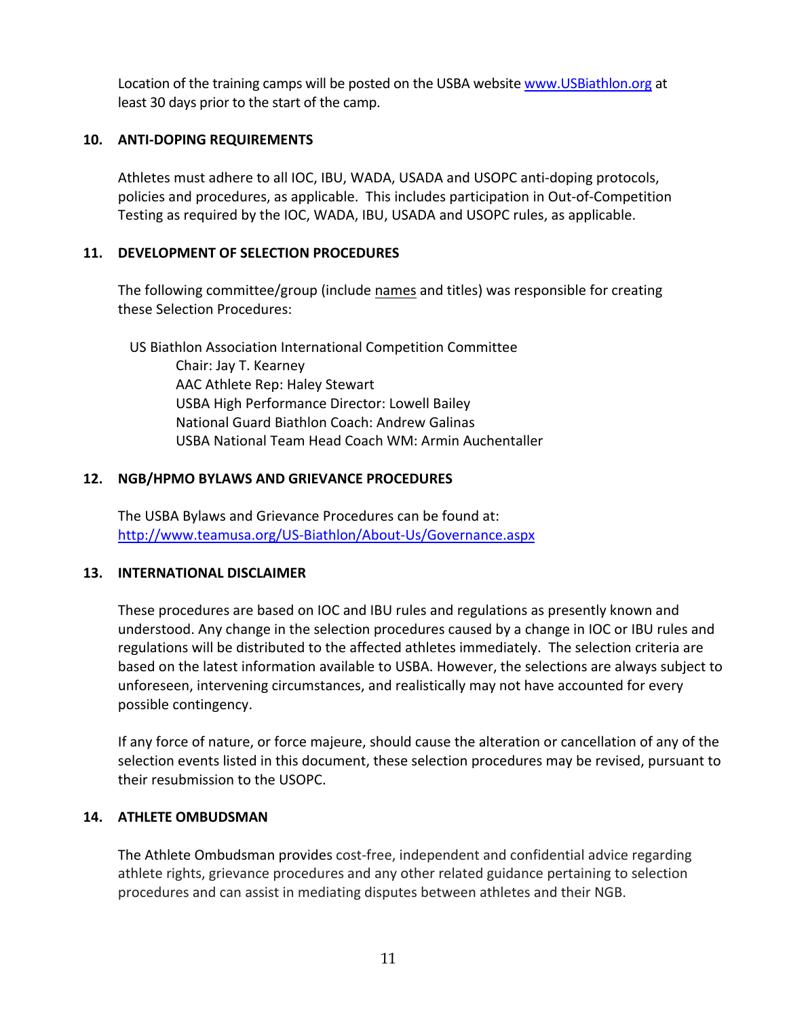Location of the training camps will be posted on the USBA website www. USBiathlon.org at least 30 days prior to the start of the camp.

# **10. ANTI‐DOPING REQUIREMENTS**

Athletes must adhere to all IOC, IBU, WADA, USADA and USOPC anti‐doping protocols, policies and procedures, as applicable. This includes participation in Out‐of‐Competition Testing as required by the IOC, WADA, IBU, USADA and USOPC rules, as applicable.

# **11. DEVELOPMENT OF SELECTION PROCEDURES**

The following committee/group (include names and titles) was responsible for creating these Selection Procedures:

US Biathlon Association International Competition Committee Chair: Jay T. Kearney AAC Athlete Rep: Haley Stewart USBA High Performance Director: Lowell Bailey National Guard Biathlon Coach: Andrew Galinas USBA National Team Head Coach WM: Armin Auchentaller

# **12. NGB/HPMO BYLAWS AND GRIEVANCE PROCEDURES**

The USBA Bylaws and Grievance Procedures can be found at: http://www.teamusa.org/US‐Biathlon/About‐Us/Governance.aspx

# **13. INTERNATIONAL DISCLAIMER**

These procedures are based on IOC and IBU rules and regulations as presently known and understood. Any change in the selection procedures caused by a change in IOC or IBU rules and regulations will be distributed to the affected athletes immediately. The selection criteria are based on the latest information available to USBA. However, the selections are always subject to unforeseen, intervening circumstances, and realistically may not have accounted for every possible contingency.

If any force of nature, or force majeure, should cause the alteration or cancellation of any of the selection events listed in this document, these selection procedures may be revised, pursuant to their resubmission to the USOPC.

# **14. ATHLETE OMBUDSMAN**

The Athlete Ombudsman provides cost‐free, independent and confidential advice regarding athlete rights, grievance procedures and any other related guidance pertaining to selection procedures and can assist in mediating disputes between athletes and their NGB.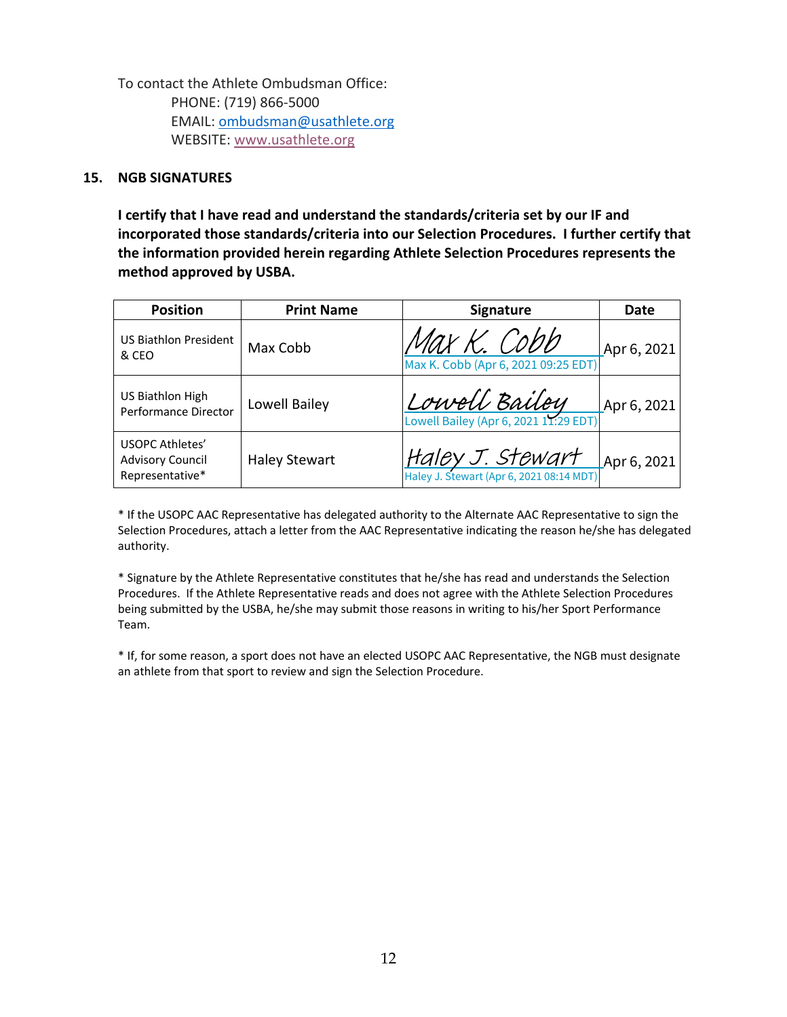To contact the Athlete Ombudsman Office: 

PHONE: (719) 866‐5000  EMAIL: ombudsman@usathlete.org WEBSITE: www.usathlete.org

#### **15. NGB SIGNATURES**

**I certify that I have read and understand the standards/criteria set by our IF and incorporated those standards/criteria into our Selection Procedures. I further certify that the information provided herein regarding Athlete Selection Procedures represents the method approved by USBA.**

| <b>Position</b>                                                      | <b>Print Name</b>    | <b>Signature</b>                                   | Date                  |
|----------------------------------------------------------------------|----------------------|----------------------------------------------------|-----------------------|
| <b>US Biathlon President</b><br>& CEO                                | Max Cobb             | Max K. Cobb<br>Max K. Cobb (Apr 6, 2021 09:25 EDT) | Apr 6, 2021           |
| US Biathlon High<br>Performance Director                             | Lowell Bailey        | $\lfloor$ Couvell Bailey                           | $\lfloor$ Apr 6, 2021 |
| <b>USOPC Athletes'</b><br><b>Advisory Council</b><br>Representative* | <b>Haley Stewart</b> | Haley J. Stewart (Apr 6, 2021 08:14 MDT)           | $\mu$ Apr 6, 2021     |

\* If the USOPC AAC Representative has delegated authority to the Alternate AAC Representative to sign the Selection Procedures, attach a letter from the AAC Representative indicating the reason he/she has delegated authority.

\* Signature by the Athlete Representative constitutes that he/she has read and understands the Selection Procedures. If the Athlete Representative reads and does not agree with the Athlete Selection Procedures being submitted by the USBA, he/she may submit those reasons in writing to his/her Sport Performance Team.

\* If, for some reason, a sport does not have an elected USOPC AAC Representative, the NGB must designate an athlete from that sport to review and sign the Selection Procedure.